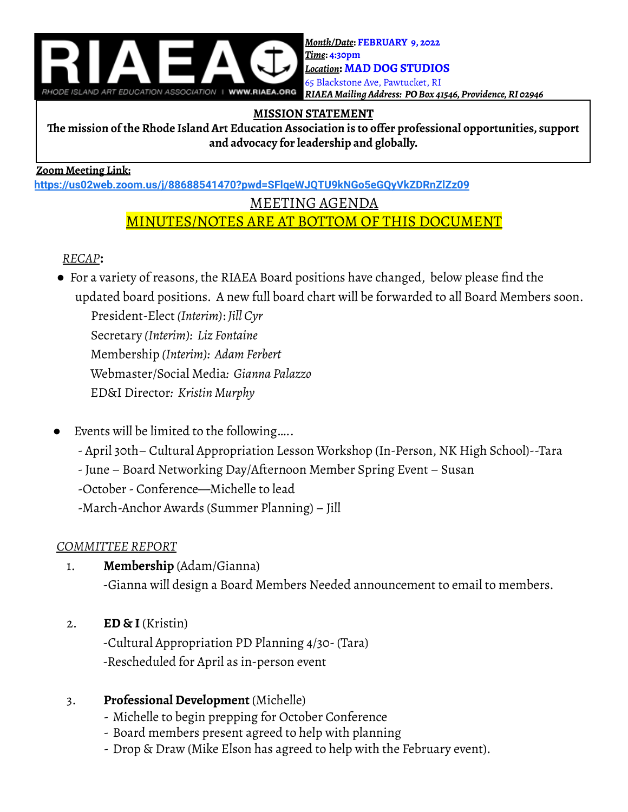

# **MISSION STATEMENT**

**The mission of the Rhode Island Art Education Association is to offer professional opportunities, support and advocacy for leadership and globally.**

#### **Zoom Meeting Link:**

**<https://us02web.zoom.us/j/88688541470?pwd=SFlqeWJQTU9kNGo5eGQyVkZDRnZlZz09>**

#### MEETING AGENDA

# MINUTES/NOTES ARE AT BOTTOM OF THIS DOCUMENT

# *RECAP***:**

● For a variety of reasons, the RIAEA Board positions have changed, below please find the updated board positions. A new full board chart will be forwarded to all Board Members soon.

President-Elect *(Interim)*: *Jill Cyr*

Secretary *(Interim): Liz Fontaine*

Membership *(Interim): Adam Ferbert*

Webmaster/Social Media*: Gianna Palazzo*

- ED&I Director*: Kristin Murphy*
- Events will be limited to the following.....
	- April 30th– Cultural Appropriation Lesson Workshop (In-Person, NK High School)--Tara
	- -June Board Networking Day/Afternoon Member Spring Event Susan

-October- Conference—Michelle to lead

-March-Anchor Awards (Summer Planning) – Jill

# *COMMITTEE REPORT*

- 1. **Membership** (Adam/Gianna) -Gianna will design a Board Members Needed announcement to email to members.
- 2. **ED & I** (Kristin)

-Cultural Appropriation PD Planning 4/30-(Tara) -Rescheduled for April as in-person event

# 3. **Professional Development** (Michelle)

- Michelle to begin prepping for October Conference
- Board members present agreed to help with planning
- Drop & Draw (Mike Elson has agreed to help with the February event).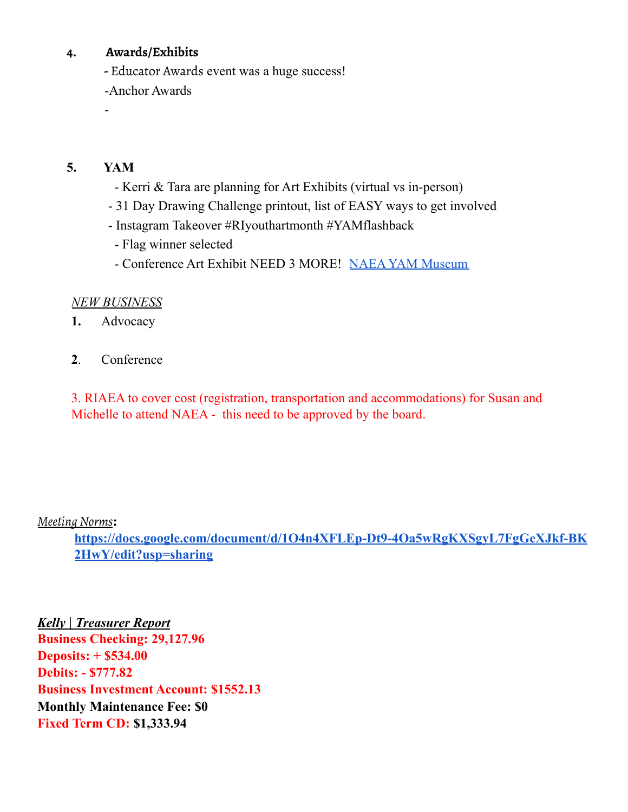#### **4. Awards/Exhibits**

**-** Educator Awards event was a huge success!

-Anchor Awards

# **5. YAM**

-

- Kerri & Tara are planning for Art Exhibits (virtual vs in-person)
- 31 Day Drawing Challenge printout, list of EASY ways to get involved
- Instagram Takeover #RIyouthartmonth #YAMflashback
- Flag winner selected
- Conference Art Exhibit NEED 3 MORE! NAEA YAM [Museum](https://docs.google.com/presentation/d/1BhEHh3RMGYlobMy71W3B4vi0b0_Z_ugr0q3GkUrVuug/edit#slide=id.g10ab45a429b_0_30)

# *NEW BUSINESS*

- **1.** Advocacy
- **2**. Conference

3. RIAEA to cover cost (registration, transportation and accommodations) for Susan and Michelle to attend NAEA - this need to be approved by the board.

# *MeetingNorms***:**

**https://docs.google.com/document/d/1O4n4XFLEp-Dt9-4Oa5wRgKXSgyL7FgGeXJkf-BK 2HwY/edit?usp=sharing**

*Kelly | Treasurer Report* **Business Checking: 29,127.96 Deposits: + \$534.00 Debits: - \$777.82 Business Investment Account: \$1552.13 Monthly Maintenance Fee: \$0 Fixed Term CD: \$1,333.94**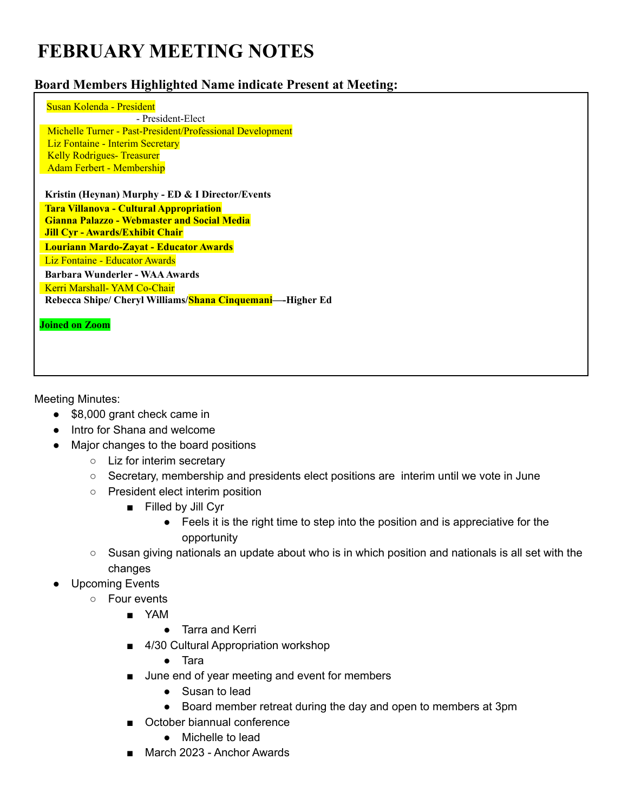# **FEBRUARY MEETING NOTES**

#### **Board Members Highlighted Name indicate Present at Meeting:**

Susan Kolenda - President - President-Elect Michelle Turner - Past-President/Professional Development Liz Fontaine - Interim Secretary Kelly Rodrigues- Treasurer Adam Ferbert - Membership **Kristin (Heynan) Murphy - ED & I Director/Events Tara Villanova - Cultural Appropriation Gianna Palazzo - Webmaster and Social Media Jill Cyr - Awards/Exhibit Chair Louriann Mardo-Zayat - Educator Awards** Liz Fontaine - Educator Awards **Barbara Wunderler - WAAAwards** Kerri Marshall- YAM Co-Chair **Rebecca Shipe/ Cheryl Williams/Shana Cinquemani—-Higher Ed Joined on Zoom**

Meeting Minutes:

- \$8,000 grant check came in
- Intro for Shana and welcome
- Major changes to the board positions
	- Liz for interim secretary
	- Secretary, membership and presidents elect positions are interim until we vote in June
	- President elect interim position
		- Filled by Jill Cyr
			- Feels it is the right time to step into the position and is appreciative for the opportunity
	- Susan giving nationals an update about who is in which position and nationals is all set with the changes
- **Upcoming Events** 
	- Four events
		- YAM
			- Tarra and Kerri
		- 4/30 Cultural Appropriation workshop
			- Tara
		- June end of year meeting and event for members
			- Susan to lead
			- Board member retreat during the day and open to members at 3pm
		- October biannual conference
			- Michelle to lead
		- March 2023 Anchor Awards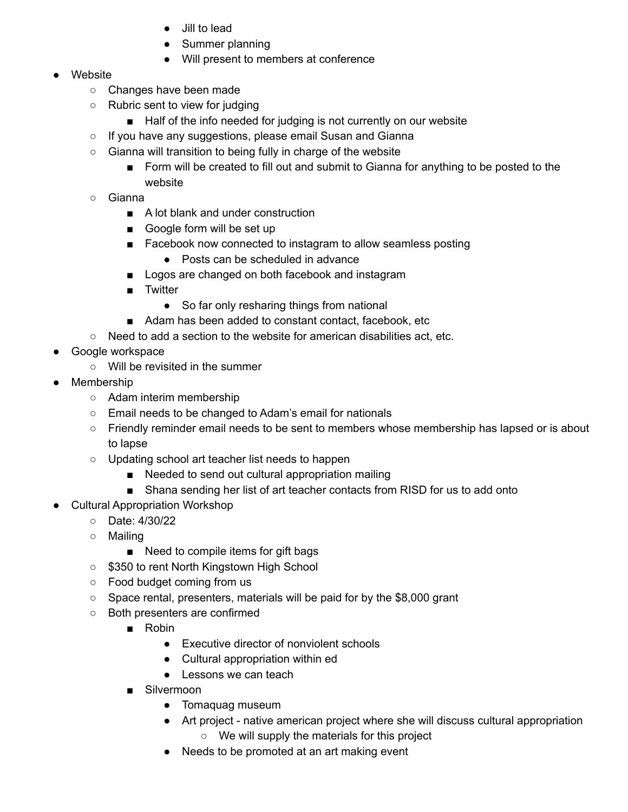- Jill to lead
- Summer planning
- Will present to members at conference

#### Website

- Changes have been made
- Rubric sent to view for judging
	- Half of the info needed for judging is not currently on our website
- If you have any suggestions, please email Susan and Gianna
- Gianna will transition to being fully in charge of the website
	- Form will be created to fill out and submit to Gianna for anything to be posted to the website
- Gianna
	- A lot blank and under construction
	- Google form will be set up
	- Facebook now connected to instagram to allow seamless posting
		- Posts can be scheduled in advance
	- Logos are changed on both facebook and instagram
	- Twitter
		- So far only resharing things from national
	- Adam has been added to constant contact, facebook, etc
- Need to add a section to the website for american disabilities act, etc.
- Google workspace
	- Will be revisited in the summer
- Membership
	- Adam interim membership
	- Email needs to be changed to Adam's email for nationals
	- Friendly reminder email needs to be sent to members whose membership has lapsed or is about to lapse
	- Updating school art teacher list needs to happen
		- Needed to send out cultural appropriation mailing
		- Shana sending her list of art teacher contacts from RISD for us to add onto
- **Cultural Appropriation Workshop** 
	- Date: 4/30/22
	- Mailing
		- Need to compile items for gift bags
	- \$350 to rent North Kingstown High School
	- Food budget coming from us
	- Space rental, presenters, materials will be paid for by the \$8,000 grant
	- Both presenters are confirmed
		- Robin
			- Executive director of nonviolent schools
			- Cultural appropriation within ed
			- Lessons we can teach
		- Silvermoon
			- Tomaquag museum
			- Art project native american project where she will discuss cultural appropriation
				- We will supply the materials for this project
			- Needs to be promoted at an art making event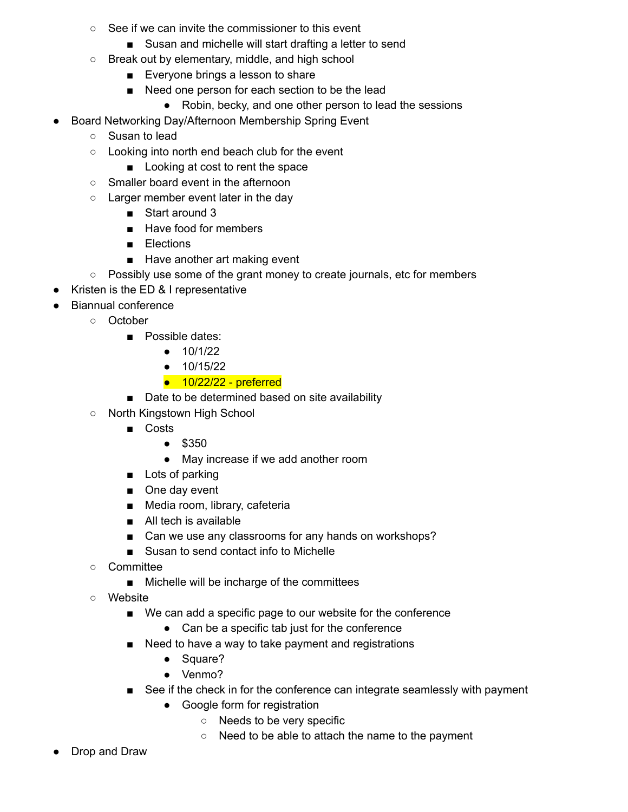- See if we can invite the commissioner to this event
	- Susan and michelle will start drafting a letter to send
- Break out by elementary, middle, and high school
	- Everyone brings a lesson to share
	- Need one person for each section to be the lead
		- Robin, becky, and one other person to lead the sessions
- Board Networking Day/Afternoon Membership Spring Event
	- Susan to lead
	- Looking into north end beach club for the event
		- Looking at cost to rent the space
	- Smaller board event in the afternoon
	- Larger member event later in the day
		- Start around 3
		- Have food for members
		- Elections
		- Have another art making event
	- Possibly use some of the grant money to create journals, etc for members
- Kristen is the ED & I representative
- **Biannual conference** 
	- October
		- Possible dates:
			- 10/1/22
			- 10/15/22
			- $\bullet$  10/22/22 preferred
		- Date to be determined based on site availability
	- North Kingstown High School
		- Costs
			- \$350
			- May increase if we add another room
		- Lots of parking
		- One day event
		- Media room, library, cafeteria
		- All tech is available
		- Can we use any classrooms for any hands on workshops?
		- Susan to send contact info to Michelle
	- Committee
		- Michelle will be incharge of the committees
	- Website
		- We can add a specific page to our website for the conference
			- Can be a specific tab just for the conference
		- Need to have a way to take payment and registrations
			- Square?
			- Venmo?
		- See if the check in for the conference can integrate seamlessly with payment
			- Google form for registration
				- Needs to be very specific
				- Need to be able to attach the name to the payment
- Drop and Draw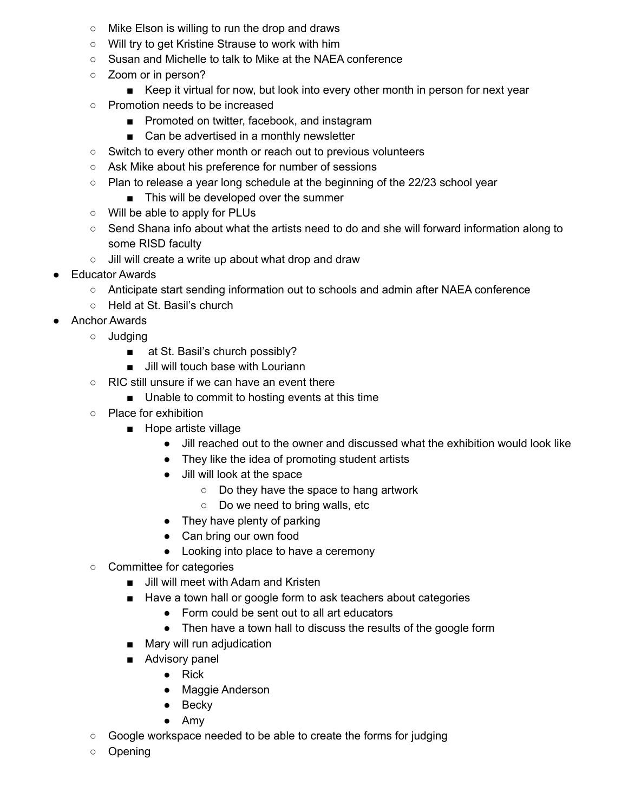- Mike Elson is willing to run the drop and draws
- Will try to get Kristine Strause to work with him
- Susan and Michelle to talk to Mike at the NAEA conference
- Zoom or in person?
	- Keep it virtual for now, but look into every other month in person for next year
- Promotion needs to be increased
	- Promoted on twitter, facebook, and instagram
	- Can be advertised in a monthly newsletter
- Switch to every other month or reach out to previous volunteers
- Ask Mike about his preference for number of sessions
- $\circ$  Plan to release a year long schedule at the beginning of the 22/23 school year
	- This will be developed over the summer
- Will be able to apply for PLUs
- Send Shana info about what the artists need to do and she will forward information along to some RISD faculty
- Jill will create a write up about what drop and draw
- **Educator Awards** 
	- Anticipate start sending information out to schools and admin after NAEA conference
	- Held at St. Basil's church
- **Anchor Awards** 
	- Judging
		- at St. Basil's church possibly?
		- Jill will touch base with Louriann
	- RIC still unsure if we can have an event there
		- Unable to commit to hosting events at this time
	- Place for exhibition
		- Hope artiste village
			- Jill reached out to the owner and discussed what the exhibition would look like
			- They like the idea of promoting student artists
			- Jill will look at the space
				- Do they have the space to hang artwork
				- Do we need to bring walls, etc
			- They have plenty of parking
			- Can bring our own food
			- Looking into place to have a ceremony
	- Committee for categories
		- Jill will meet with Adam and Kristen
		- Have a town hall or google form to ask teachers about categories
			- Form could be sent out to all art educators
			- Then have a town hall to discuss the results of the google form
		- Mary will run adjudication
		- Advisory panel
			- Rick
			- Maggie Anderson
			- Becky
			- Amy
	- Google workspace needed to be able to create the forms for judging
	- Opening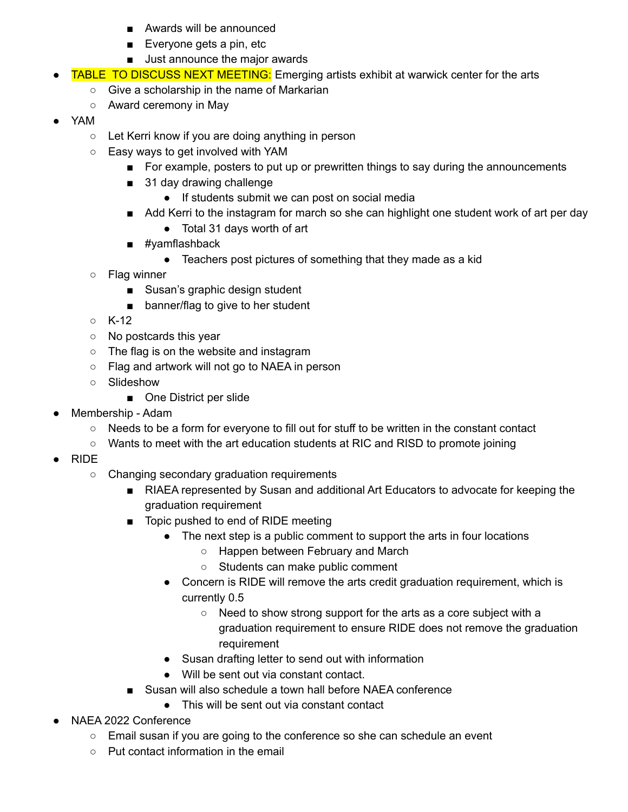- Awards will be announced
- Everyone gets a pin, etc
- Just announce the major awards
- **TABLE TO DISCUSS NEXT MEETING:** Emerging artists exhibit at warwick center for the arts
	- Give a scholarship in the name of Markarian
	- Award ceremony in May
- YAM
	- Let Kerri know if you are doing anything in person
	- Easy ways to get involved with YAM
		- For example, posters to put up or prewritten things to say during the announcements
		- 31 day drawing challenge
			- If students submit we can post on social media
		- Add Kerri to the instagram for march so she can highlight one student work of art per day
			- Total 31 days worth of art
		- #vamflashback
			- Teachers post pictures of something that they made as a kid
	- Flag winner
		- Susan's graphic design student
		- banner/flag to give to her student
	- K-12
	- No postcards this year
	- The flag is on the website and instagram
	- Flag and artwork will not go to NAEA in person
	- Slideshow
		- One District per slide
- Membership Adam
	- Needs to be a form for everyone to fill out for stuff to be written in the constant contact
	- Wants to meet with the art education students at RIC and RISD to promote joining
- RIDE
	- Changing secondary graduation requirements
		- RIAEA represented by Susan and additional Art Educators to advocate for keeping the graduation requirement
		- Topic pushed to end of RIDE meeting
			- The next step is a public comment to support the arts in four locations
				- Happen between February and March
				- Students can make public comment
			- Concern is RIDE will remove the arts credit graduation requirement, which is currently 0.5
				- Need to show strong support for the arts as a core subject with a graduation requirement to ensure RIDE does not remove the graduation requirement
			- Susan drafting letter to send out with information
			- Will be sent out via constant contact.
		- Susan will also schedule a town hall before NAEA conference
			- This will be sent out via constant contact
- NAEA 2022 Conference
	- Email susan if you are going to the conference so she can schedule an event
	- Put contact information in the email